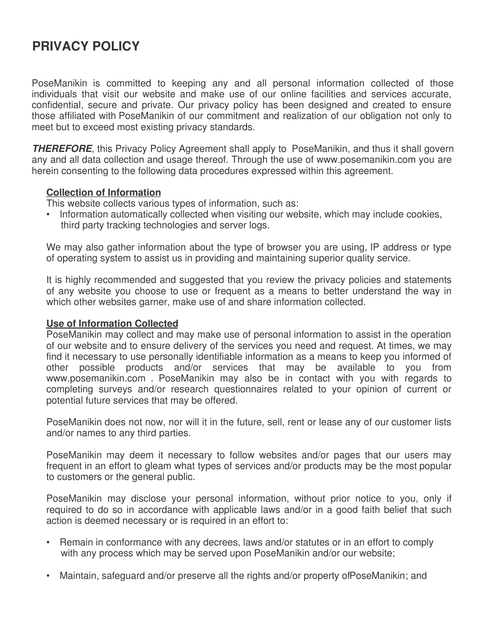# **PRIVACY POLICY**

PoseManikin is committed to keeping any and all personal information collected of those individuals that visit our website and make use of our online facilities and services accurate, confidential, secure and private. Our privacy policy has been designed and created to ensure those affiliated with PoseManikin of our commitment and realization of our obligation not only to meet but to exceed most existing privacy standards.

**THEREFORE**, this Privacy Policy Agreement shall apply to PoseManikin, and thus it shall govern any and all data collection and usage thereof. Through the use of www.posemanikin.com you are herein consenting to the following data procedures expressed within this agreement.

## **Collection of Information**

This website collects various types of information, such as:

• Information automatically collected when visiting our website, which may include cookies, third party tracking technologies and server logs.

We may also gather information about the type of browser you are using, IP address or type of operating system to assist us in providing and maintaining superior quality service.

It is highly recommended and suggested that you review the privacy policies and statements of any website you choose to use or frequent as a means to better understand the way in which other websites garner, make use of and share information collected.

### **Use of Information Collected**

PoseManikin may collect and may make use of personal information to assist in the operation of our website and to ensure delivery of the services you need and request. At times, we may find it necessary to use personally identifiable information as a means to keep you informed of other possible products and/or services that may be available to you from www.posemanikin.com . PoseManikin may also be in contact with you with regards to completing surveys and/or research questionnaires related to your opinion of current or potential future services that may be offered.

PoseManikin does not now, nor will it in the future, sell, rent or lease any of our customer lists and/or names to any third parties.

PoseManikin may deem it necessary to follow websites and/or pages that our users may frequent in an effort to gleam what types of services and/or products may be the most popular to customers or the general public.

PoseManikin may disclose your personal information, without prior notice to you, only if required to do so in accordance with applicable laws and/or in a good faith belief that such action is deemed necessary or is required in an effort to:

- Remain in conformance with any decrees, laws and/or statutes or in an effort to comply with any process which may be served upon PoseManikin and/or our website;
- Maintain, safeguard and/or preserve all the rights and/or property of PoseManikin; and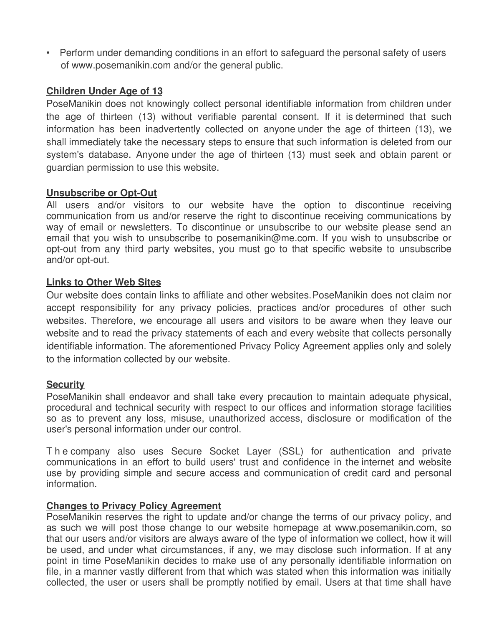• Perform under demanding conditions in an effort to safeguard the personal safety of users of www.posemanikin.com and/or the general public.

## **Children Under Age of 13**

PoseManikin does not knowingly collect personal identifiable information from children under the age of thirteen (13) without verifiable parental consent. If it is determined that such information has been inadvertently collected on anyone under the age of thirteen (13), we shall immediately take the necessary steps to ensure that such information is deleted from our system's database. Anyone under the age of thirteen (13) must seek and obtain parent or guardian permission to use this website.

## **Unsubscribe or Opt-Out**

All users and/or visitors to our website have the option to discontinue receiving communication from us and/or reserve the right to discontinue receiving communications by way of email or newsletters. To discontinue or unsubscribe to our website please send an email that you wish to unsubscribe to posemanikin@me.com. If you wish to unsubscribe or opt-out from any third party websites, you must go to that specific website to unsubscribe and/or opt-out.

### **Links to Other Web Sites**

Our website does contain links to affiliate and other websites. PoseManikin does not claim nor accept responsibility for any privacy policies, practices and/or procedures of other such websites. Therefore, we encourage all users and visitors to be aware when they leave our website and to read the privacy statements of each and every website that collects personally identifiable information. The aforementioned Privacy Policy Agreement applies only and solely to the information collected by our website.

### **Security**

PoseManikin shall endeavor and shall take every precaution to maintain adequate physical, procedural and technical security with respect to our offices and information storage facilities so as to prevent any loss, misuse, unauthorized access, disclosure or modification of the user's personal information under our control.

T h e company also uses Secure Socket Layer (SSL) for authentication and private communications in an effort to build users' trust and confidence in the internet and website use by providing simple and secure access and communication of credit card and personal information.

## **Changes to Privacy Policy Agreement**

PoseManikin reserves the right to update and/or change the terms of our privacy policy, and as such we will post those change to our website homepage at www.posemanikin.com, so that our users and/or visitors are always aware of the type of information we collect, how it will be used, and under what circumstances, if any, we may disclose such information. If at any point in time PoseManikin decides to make use of any personally identifiable information on file, in a manner vastly different from that which was stated when this information was initially collected, the user or users shall be promptly notified by email. Users at that time shall have